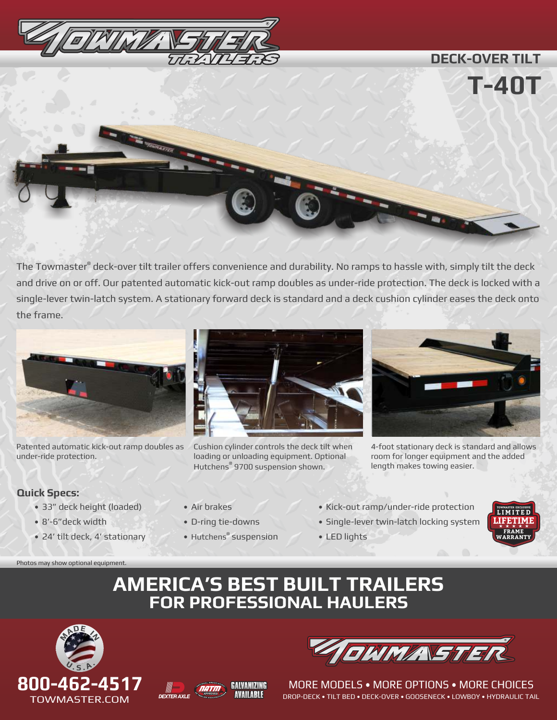

# **T-40T**

The Towmaster® deck-over tilt trailer offers convenience and durability. No ramps to hassle with, simply tilt the deck and drive on or off. Our patented automatic kick-out ramp doubles as under-ride protection. The deck is locked with a single-lever twin-latch system. A stationary forward deck is standard and a deck cushion cylinder eases the deck onto the frame.



Patented automatic kick-out ramp doubles as under-ride protection.

Cushion cylinder controls the deck tilt when loading or unloading equipment. Optional Hutchens<sup>®</sup> 9700 suspension shown.



**DECK-OVER TILT**

4-foot stationary deck is standard and allows room for longer equipment and the added length makes towing easier.

# **Quick Specs:**

- 33" deck height (loaded)
- 8'-6"deck width

Photos may show optional equipment.

- 24' tilt deck, 4' stationary
- Air brakes
- D-ring tie-downs
- Hutchens® suspension
- Kick-out ramp/under-ride protection
- Single-lever twin-latch locking system
- LED lights



# **AMERICA'S BEST BUILT TRAILERS FOR PROFESSIONAL HAULERS**









MORE MODELS • MORE OPTIONS • MORE CHOICES DROP-DECK • TILT BED • DECK-OVER • GOOSENECK • LOWBOY • HYDRAULIC TAIL